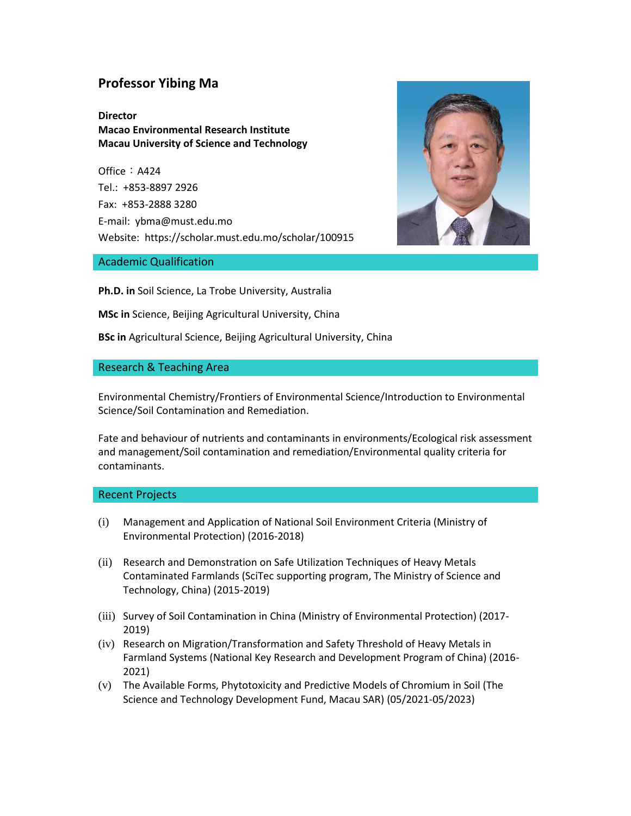# **Professor Yibing Ma**

**Director Macao Environmental Research Institute Macau University of Science and Technology**

Office: A424 Tel.: +853-8897 2926 Fax: +853-2888 3280 E-mail: ybma@must.edu.mo Website: https://scholar.must.edu.mo/scholar/100915





**Ph.D. in** Soil Science, La Trobe University, Australia

**MSc in** Science, Beijing Agricultural University, China

**BSc in** Agricultural Science, Beijing Agricultural University, China

### Research & Teaching Area

Environmental Chemistry/Frontiers of Environmental Science/Introduction to Environmental Science/Soil Contamination and Remediation.

Fate and behaviour of nutrients and contaminants in environments/Ecological risk assessment and management/Soil contamination and remediation/Environmental quality criteria for contaminants.

#### Recent Projects

- (i) Management and Application of National Soil Environment Criteria (Ministry of Environmental Protection) (2016-2018)
- (ii) Research and Demonstration on Safe Utilization Techniques of Heavy Metals Contaminated Farmlands (SciTec supporting program, The Ministry of Science and Technology, China) (2015-2019)
- (iii) Survey of Soil Contamination in China (Ministry of Environmental Protection) (2017- 2019)
- (iv) Research on Migration/Transformation and Safety Threshold of Heavy Metals in Farmland Systems (National Key Research and Development Program of China) (2016- 2021)
- (v) The Available Forms, Phytotoxicity and Predictive Models of Chromium in Soil (The Science and Technology Development Fund, Macau SAR) (05/2021-05/2023)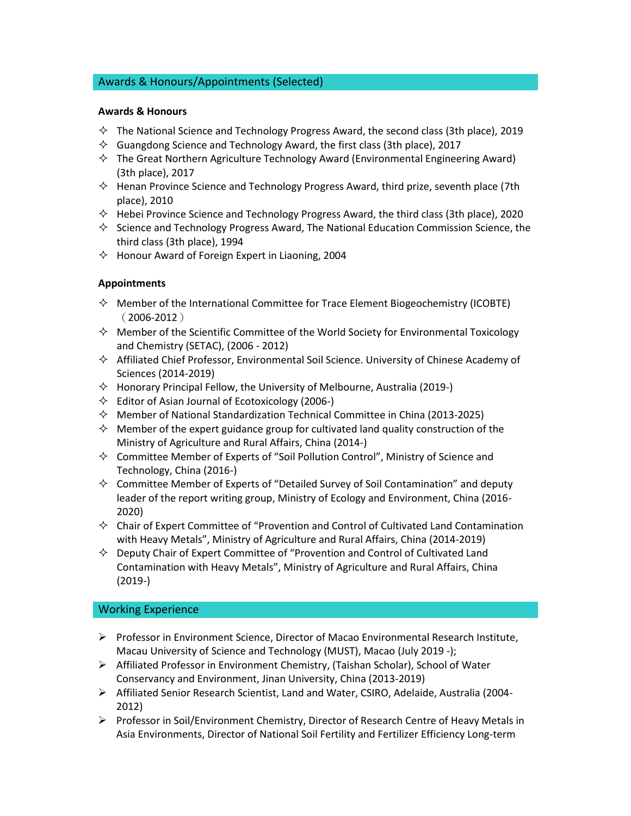# Awards & Honours/Appointments (Selected)

### **Awards & Honours**

- $\diamond$  The National Science and Technology Progress Award, the second class (3th place), 2019
- $\Diamond$  Guangdong Science and Technology Award, the first class (3th place), 2017
- $\diamond$  The Great Northern Agriculture Technology Award (Environmental Engineering Award) (3th place), 2017
- $\Diamond$  Henan Province Science and Technology Progress Award, third prize, seventh place (7th place), 2010
- $\Diamond$  Hebei Province Science and Technology Progress Award, the third class (3th place), 2020
- $\Diamond$  Science and Technology Progress Award, The National Education Commission Science, the third class (3th place), 1994
- $\Diamond$  Honour Award of Foreign Expert in Liaoning, 2004

# **Appointments**

- $\diamond$  Member of the International Committee for Trace Element Biogeochemistry (ICOBTE)  $(2006 - 2012)$
- $\diamond$  Member of the Scientific Committee of the World Society for Environmental Toxicology and Chemistry (SETAC), (2006 - 2012)
- $\Diamond$  Affiliated Chief Professor, Environmental Soil Science. University of Chinese Academy of Sciences (2014-2019)
- $\Diamond$  Honorary Principal Fellow, the University of Melbourne, Australia (2019-)
- $\Diamond$  Editor of Asian Journal of Ecotoxicology (2006-)
- $\Diamond$  Member of National Standardization Technical Committee in China (2013-2025)
- $\diamond$  Member of the expert guidance group for cultivated land quality construction of the Ministry of Agriculture and Rural Affairs, China (2014-)
- $\diamondsuit$  Committee Member of Experts of "Soil Pollution Control", Ministry of Science and Technology, China (2016-)
- $\diamond$  Committee Member of Experts of "Detailed Survey of Soil Contamination" and deputy leader of the report writing group, Ministry of Ecology and Environment, China (2016- 2020)
- $\diamond$  Chair of Expert Committee of "Provention and Control of Cultivated Land Contamination with Heavy Metals", Ministry of Agriculture and Rural Affairs, China (2014-2019)
- $\diamond$  Deputy Chair of Expert Committee of "Provention and Control of Cultivated Land Contamination with Heavy Metals", Ministry of Agriculture and Rural Affairs, China (2019-)

# Working Experience

- $\triangleright$  Professor in Environment Science, Director of Macao Environmental Research Institute, Macau University of Science and Technology (MUST), Macao (July 2019 -);
- $\triangleright$  Affiliated Professor in Environment Chemistry, (Taishan Scholar), School of Water Conservancy and Environment, Jinan University, China (2013-2019)
- Affiliated Senior Research Scientist, Land and Water, CSIRO, Adelaide, Australia (2004- 2012)
- ▶ Professor in Soil/Environment Chemistry, Director of Research Centre of Heavy Metals in Asia Environments, Director of National Soil Fertility and Fertilizer Efficiency Long-term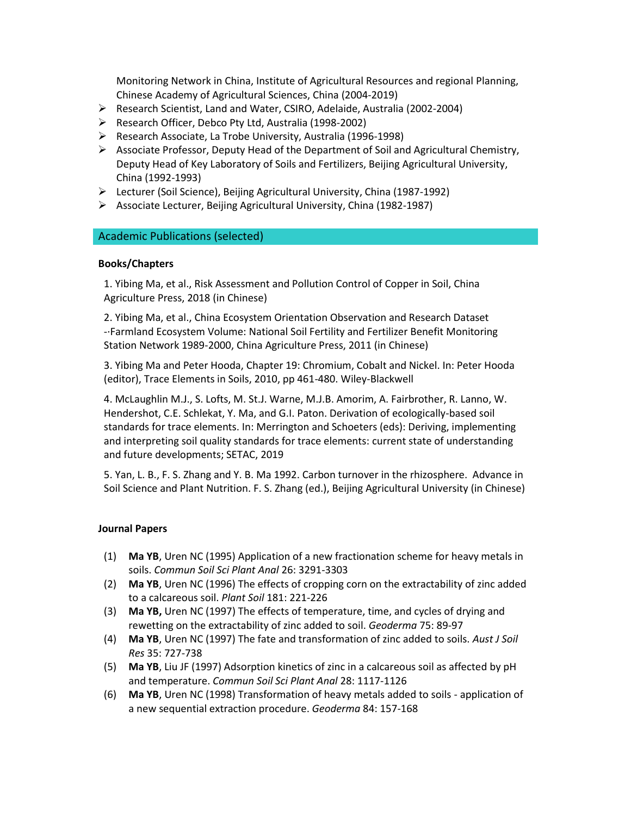Monitoring Network in China, Institute of Agricultural Resources and regional Planning, Chinese Academy of Agricultural Sciences, China (2004-2019)

- Research Scientist, Land and Water, CSIRO, Adelaide, Australia (2002-2004)
- Research Officer, Debco Pty Ltd, Australia (1998-2002)
- Research Associate, La Trobe University, Australia (1996-1998)
- $\triangleright$  Associate Professor, Deputy Head of the Department of Soil and Agricultural Chemistry, Deputy Head of Key Laboratory of Soils and Fertilizers, Beijing Agricultural University, China (1992-1993)
- Lecturer (Soil Science), Beijing Agricultural University, China (1987-1992)
- $\triangleright$  Associate Lecturer, Beijing Agricultural University, China (1982-1987)

### Academic Publications (selected)

#### **Books/Chapters**

1. Yibing Ma, et al., Risk Assessment and Pollution Control of Copper in Soil, China Agriculture Press, 2018 (in Chinese)

2. Yibing Ma, et al., China Ecosystem Orientation Observation and Research Dataset -·Farmland Ecosystem Volume: National Soil Fertility and Fertilizer Benefit Monitoring Station Network 1989-2000, China Agriculture Press, 2011 (in Chinese)

3. Yibing Ma and Peter Hooda, Chapter 19: Chromium, Cobalt and Nickel. In: Peter Hooda (editor), Trace Elements in Soils, 2010, pp 461-480. Wiley-Blackwell

4. McLaughlin M.J., S. Lofts, M. St.J. Warne, M.J.B. Amorim, A. Fairbrother, R. Lanno, W. Hendershot, C.E. Schlekat, Y. Ma, and G.I. Paton. Derivation of ecologically-based soil standards for trace elements. In: Merrington and Schoeters (eds): Deriving, implementing and interpreting soil quality standards for trace elements: current state of understanding and future developments; SETAC, 2019

5. Yan, L. B., F. S. Zhang and Y. B. Ma 1992. Carbon turnover in the rhizosphere. Advance in Soil Science and Plant Nutrition. F. S. Zhang (ed.), Beijing Agricultural University (in Chinese)

### **Journal Papers**

- (1) **Ma YB**, Uren NC (1995) Application of a new fractionation scheme for heavy metals in soils. *Commun Soil Sci Plant Anal* 26: 3291-3303
- (2) **Ma YB**, Uren NC (1996) The effects of cropping corn on the extractability of zinc added to a calcareous soil. *Plant Soil* 181: 221-226
- (3) **Ma YB,** Uren NC (1997) The effects of temperature, time, and cycles of drying and rewetting on the extractability of zinc added to soil. *Geoderma* 75: 89-97
- (4) **Ma YB**, Uren NC (1997) The fate and transformation of zinc added to soils. *Aust J Soil Res* 35: 727-738
- (5) **Ma YB**, Liu JF (1997) Adsorption kinetics of zinc in a calcareous soil as affected by pH and temperature. *Commun Soil Sci Plant Anal* 28: 1117-1126
- (6) **Ma YB**, Uren NC (1998) Transformation of heavy metals added to soils application of a new sequential extraction procedure. *Geoderma* 84: 157-168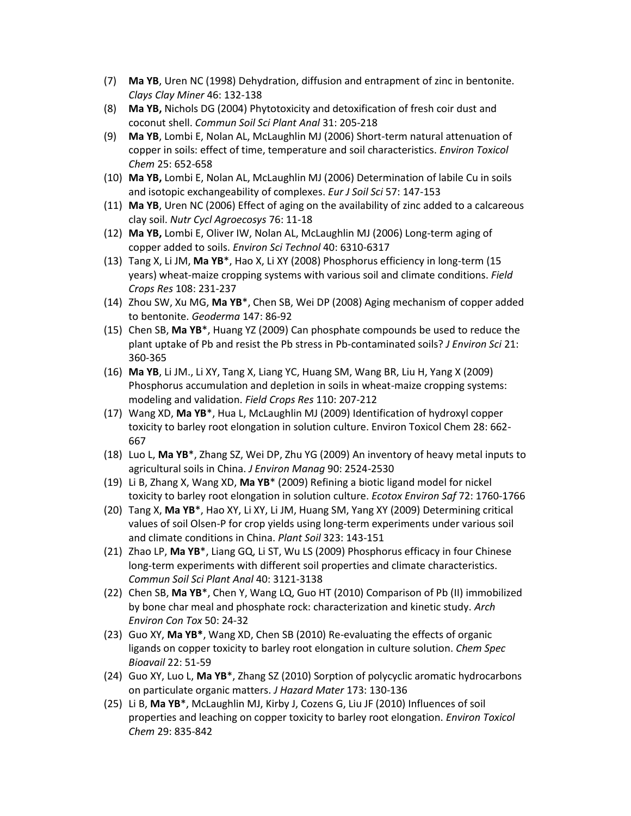- (7) **Ma YB**, Uren NC (1998) Dehydration, diffusion and entrapment of zinc in bentonite. *Clays Clay Miner* 46: 132-138
- (8) **Ma YB,** Nichols DG (2004) Phytotoxicity and detoxification of fresh coir dust and coconut shell. *Commun Soil Sci Plant Anal* 31: 205-218
- (9) **Ma YB**, Lombi E, Nolan AL, McLaughlin MJ (2006) Short-term natural attenuation of copper in soils: effect of time, temperature and soil characteristics. *Environ Toxicol Chem* 25: 652-658
- (10) **Ma YB,** Lombi E, Nolan AL, McLaughlin MJ (2006) Determination of labile Cu in soils and isotopic exchangeability of complexes. *Eur J Soil Sci* 57: 147-153
- (11) **Ma YB**, Uren NC (2006) Effect of aging on the availability of zinc added to a calcareous clay soil. *Nutr Cycl Agroecosys* 76: 11-18
- (12) **Ma YB,** Lombi E, Oliver IW, Nolan AL, McLaughlin MJ (2006) Long-term aging of copper added to soils. *Environ Sci Technol* 40: 6310-6317
- (13) Tang X, Li JM, **Ma YB**\*, Hao X, Li XY (2008) Phosphorus efficiency in long-term (15 years) wheat-maize cropping systems with various soil and climate conditions. *Field Crops Res* 108: 231-237
- (14) Zhou SW, Xu MG, **Ma YB**\*, Chen SB, Wei DP (2008) Aging mechanism of copper added to bentonite. *Geoderma* 147: 86-92
- (15) Chen SB, **Ma YB**\*, Huang YZ (2009) Can phosphate compounds be used to reduce the plant uptake of Pb and resist the Pb stress in Pb-contaminated soils? *J Environ Sci* 21: 360-365
- (16) **Ma YB**, Li JM., Li XY, Tang X, Liang YC, Huang SM, Wang BR, Liu H, Yang X (2009) Phosphorus accumulation and depletion in soils in wheat-maize cropping systems: modeling and validation. *Field Crops Res* 110: 207-212
- (17) Wang XD, **Ma YB**\*, Hua L, McLaughlin MJ (2009) Identification of hydroxyl copper toxicity to barley root elongation in solution culture. Environ Toxicol Chem 28: 662- 667
- (18) Luo L, **Ma YB**\*, Zhang SZ, Wei DP, Zhu YG (2009) An inventory of heavy metal inputs to agricultural soils in China. *J Environ Manag* 90: 2524-2530
- (19) Li B, Zhang X, Wang XD, **Ma YB**\* (2009) Refining a biotic ligand model for nickel toxicity to barley root elongation in solution culture. *Ecotox Environ Saf* 72: 1760-1766
- (20) Tang X, **Ma YB**\*, Hao XY, Li XY, Li JM, Huang SM, Yang XY (2009) Determining critical values of soil Olsen-P for crop yields using long-term experiments under various soil and climate conditions in China. *Plant Soil* 323: 143-151
- (21) Zhao LP, **Ma YB**\*, Liang GQ, Li ST, Wu LS (2009) Phosphorus efficacy in four Chinese long-term experiments with different soil properties and climate characteristics. *Commun Soil Sci Plant Anal* 40: 3121-3138
- (22) Chen SB, **Ma YB**\*, Chen Y, Wang LQ, Guo HT (2010) Comparison of Pb (II) immobilized by bone char meal and phosphate rock: characterization and kinetic study. *Arch Environ Con Tox* 50: 24-32
- (23) Guo XY, **Ma YB\***, Wang XD, Chen SB (2010) Re-evaluating the effects of organic ligands on copper toxicity to barley root elongation in culture solution. *Chem Spec Bioavail* 22: 51-59
- (24) Guo XY, Luo L, **Ma YB**\*, Zhang SZ (2010) Sorption of polycyclic aromatic hydrocarbons on particulate organic matters. *J Hazard Mater* 173: 130-136
- (25) Li B, **Ma YB**\*, McLaughlin MJ, Kirby J, Cozens G, Liu JF (2010) Influences of soil properties and leaching on copper toxicity to barley root elongation. *Environ Toxicol Chem* 29: 835-842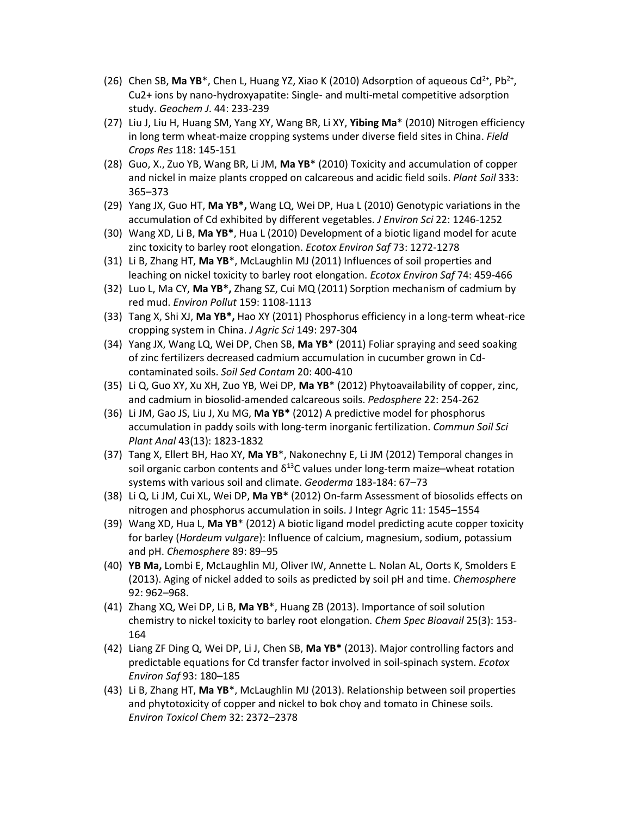- (26) Chen SB, Ma YB<sup>\*</sup>, Chen L, Huang YZ, Xiao K (2010) Adsorption of aqueous Cd<sup>2+</sup>, Pb<sup>2+</sup>, Cu2+ ions by nano-hydroxyapatite: Single- and multi-metal competitive adsorption study. *Geochem J*. 44: 233-239
- (27) Liu J, Liu H, Huang SM, Yang XY, Wang BR, Li XY, **Yibing Ma**\* (2010) Nitrogen efficiency in long term wheat-maize cropping systems under diverse field sites in China. *Field Crops Res* 118: 145-151
- (28) Guo, X., Zuo YB, Wang BR, Li JM, **Ma YB**\* (2010) Toxicity and accumulation of copper and nickel in maize plants cropped on calcareous and acidic field soils. *Plant Soil* 333: 365–373
- (29) Yang JX, Guo HT, **Ma YB\*,** Wang LQ, Wei DP, Hua L (2010) Genotypic variations in the accumulation of Cd exhibited by different vegetables. *J Environ Sci* 22: 1246-1252
- (30) Wang XD, Li B, **Ma YB\***, Hua L (2010) Development of a biotic ligand model for acute zinc toxicity to barley root elongation. *Ecotox Environ Saf* 73: 1272-1278
- (31) Li B, Zhang HT, **Ma YB**\*, McLaughlin MJ (2011) Influences of soil properties and leaching on nickel toxicity to barley root elongation. *Ecotox Environ Saf* 74: 459-466
- (32) Luo L, Ma CY, **Ma YB\*,** Zhang SZ, Cui MQ (2011) Sorption mechanism of cadmium by red mud. *Environ Pollut* 159: 1108-1113
- (33) Tang X, Shi XJ, **Ma YB\*,** Hao XY (2011) Phosphorus efficiency in a long-term wheat-rice cropping system in China. *J Agric Sci* 149: 297-304
- (34) Yang JX, Wang LQ, Wei DP, Chen SB, **Ma YB**\* (2011) Foliar spraying and seed soaking of zinc fertilizers decreased cadmium accumulation in cucumber grown in Cdcontaminated soils. *Soil Sed Contam* 20: 400-410
- (35) Li Q, Guo XY, Xu XH, Zuo YB, Wei DP, **Ma YB**\* (2012) Phytoavailability of copper, zinc, and cadmium in biosolid-amended calcareous soils. *Pedosphere* 22: 254-262
- (36) Li JM, Gao JS, Liu J, Xu MG, **Ma YB\*** (2012) A predictive model for phosphorus accumulation in paddy soils with long-term inorganic fertilization. *Commun Soil Sci Plant Anal* 43(13): 1823-1832
- (37) Tang X, Ellert BH, Hao XY, **Ma YB**\*, Nakonechny E, Li JM (2012) Temporal changes in soil organic carbon contents and  $\delta^{13}$ C values under long-term maize–wheat rotation systems with various soil and climate. *Geoderma* 183-184: 67–73
- (38) Li Q, Li JM, Cui XL, Wei DP, **Ma YB\*** (2012) On-farm Assessment of biosolids effects on nitrogen and phosphorus accumulation in soils. J Integr Agric 11: 1545–1554
- (39) Wang XD, Hua L, **Ma YB**\* (2012) A biotic ligand model predicting acute copper toxicity for barley (*Hordeum vulgare*): Influence of calcium, magnesium, sodium, potassium and pH. *Chemosphere* 89: 89–95
- (40) **YB Ma,** Lombi E, McLaughlin MJ, Oliver IW, Annette L. Nolan AL, Oorts K, Smolders E (2013). Aging of nickel added to soils as predicted by soil pH and time. *Chemosphere* 92: 962–968.
- (41) Zhang XQ, Wei DP, Li B, **Ma YB**\*, Huang ZB (2013). Importance of soil solution chemistry to nickel toxicity to barley root elongation. *Chem Spec Bioavail* 25(3): 153- 164
- (42) Liang ZF Ding Q, Wei DP, Li J, Chen SB, **Ma YB\*** (2013). Major controlling factors and predictable equations for Cd transfer factor involved in soil-spinach system. *Ecotox Environ Saf* 93: 180–185
- (43) Li B, Zhang HT, **Ma YB**\*, McLaughlin MJ (2013). Relationship between soil properties and phytotoxicity of copper and nickel to bok choy and tomato in Chinese soils. *Environ Toxicol Chem* 32: 2372–2378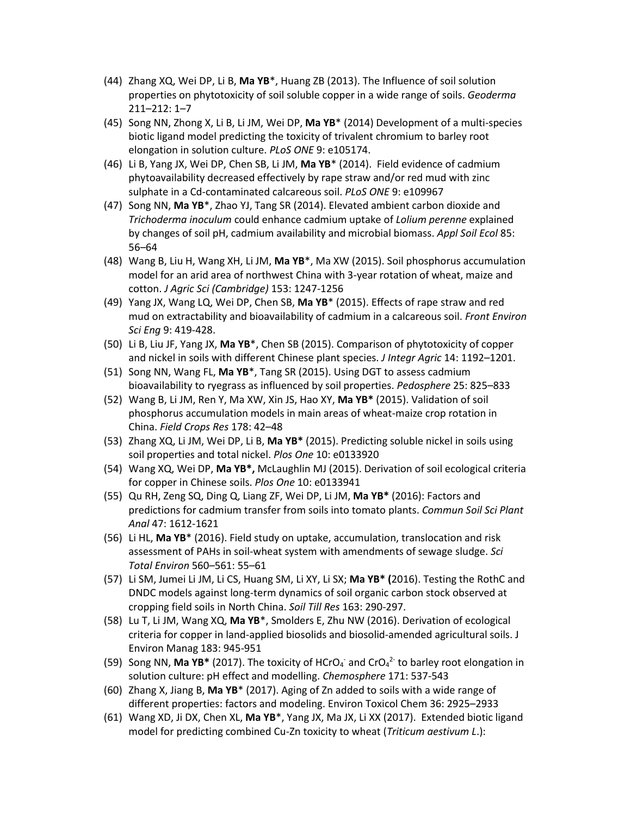- (44) Zhang XQ, Wei DP, Li B, **Ma YB**\*, Huang ZB (2013). The Influence of soil solution properties on phytotoxicity of soil soluble copper in a wide range of soils. *Geoderma* 211–212: 1–7
- (45) Song NN, Zhong X, Li B, Li JM, Wei DP, **Ma YB**\* (2014) Development of a multi-species biotic ligand model predicting the toxicity of trivalent chromium to barley root elongation in solution culture. *PLoS ONE* 9: e105174.
- (46) Li B, Yang JX, Wei DP, Chen SB, Li JM, **Ma YB**\* (2014). Field evidence of cadmium phytoavailability decreased effectively by rape straw and/or red mud with zinc sulphate in a Cd-contaminated calcareous soil. *PLoS ONE* 9: e109967
- (47) Song NN, **Ma YB**\*, Zhao YJ, Tang SR (2014). Elevated ambient carbon dioxide and *Trichoderma inoculum* could enhance cadmium uptake of *Lolium perenne* explained by changes of soil pH, cadmium availability and microbial biomass. *Appl Soil Ecol* 85: 56–64
- (48) Wang B, Liu H, Wang XH, Li JM, **Ma YB**\*, Ma XW (2015). Soil phosphorus accumulation model for an arid area of northwest China with 3-year rotation of wheat, maize and cotton. *J Agric Sci (Cambridge)* 153: 1247-1256
- (49) Yang JX, Wang LQ, Wei DP, Chen SB, **Ma YB**\* (2015). Effects of rape straw and red mud on extractability and bioavailability of cadmium in a calcareous soil. *Front Environ Sci Eng* 9: 419-428.
- (50) Li B, Liu JF, Yang JX, **Ma YB**\*, Chen SB (2015). Comparison of phytotoxicity of copper and nickel in soils with different Chinese plant species. *J Integr Agric* 14: 1192–1201.
- (51) Song NN, Wang FL, **Ma YB**\*, Tang SR (2015). Using DGT to assess cadmium bioavailability to ryegrass as influenced by soil properties. *Pedosphere* 25: 825–833
- (52) Wang B, Li JM, Ren Y, Ma XW, Xin JS, Hao XY, **Ma YB\*** (2015). Validation of soil phosphorus accumulation models in main areas of wheat-maize crop rotation in China. *Field Crops Res* 178: 42–48
- (53) Zhang XQ, Li JM, Wei DP, Li B, **Ma YB\*** (2015). Predicting soluble nickel in soils using soil properties and total nickel. *Plos One* 10: e0133920
- (54) Wang XQ, Wei DP, **Ma YB\*,** McLaughlin MJ (2015). Derivation of soil ecological criteria for copper in Chinese soils. *Plos One* 10: e0133941
- (55) Qu RH, Zeng SQ, Ding Q, Liang ZF, Wei DP, Li JM, **Ma YB\*** (2016): Factors and predictions for cadmium transfer from soils into tomato plants. *Commun Soil Sci Plant Anal* 47: 1612-1621
- (56) Li HL, **Ma YB**\* (2016). Field study on uptake, accumulation, translocation and risk assessment of PAHs in soil-wheat system with amendments of sewage sludge. *Sci Total Environ* 560–561: 55–61
- (57) Li SM, Jumei Li JM, Li CS, Huang SM, Li XY, Li SX; **Ma YB\* (**2016). Testing the RothC and DNDC models against long-term dynamics of soil organic carbon stock observed at cropping field soils in North China. *Soil Till Res* 163: 290-297.
- (58) Lu T, Li JM, Wang XQ, **Ma YB**\*, Smolders E, Zhu NW (2016). Derivation of ecological criteria for copper in land-applied biosolids and biosolid-amended agricultural soils. J Environ Manag 183: 945-951
- (59) Song NN, Ma YB<sup>\*</sup> (2017). The toxicity of HCrO<sub>4</sub> and CrO<sub>4</sub><sup>2</sup> to barley root elongation in solution culture: pH effect and modelling. *Chemosphere* 171: 537-543
- (60) Zhang X, Jiang B, **Ma YB**\* (2017). Aging of Zn added to soils with a wide range of different properties: factors and modeling. Environ Toxicol Chem 36: 2925–2933
- (61) Wang XD, Ji DX, Chen XL, **Ma YB**\*, Yang JX, Ma JX, Li XX (2017). Extended biotic ligand model for predicting combined Cu-Zn toxicity to wheat (*Triticum aestivum L*.):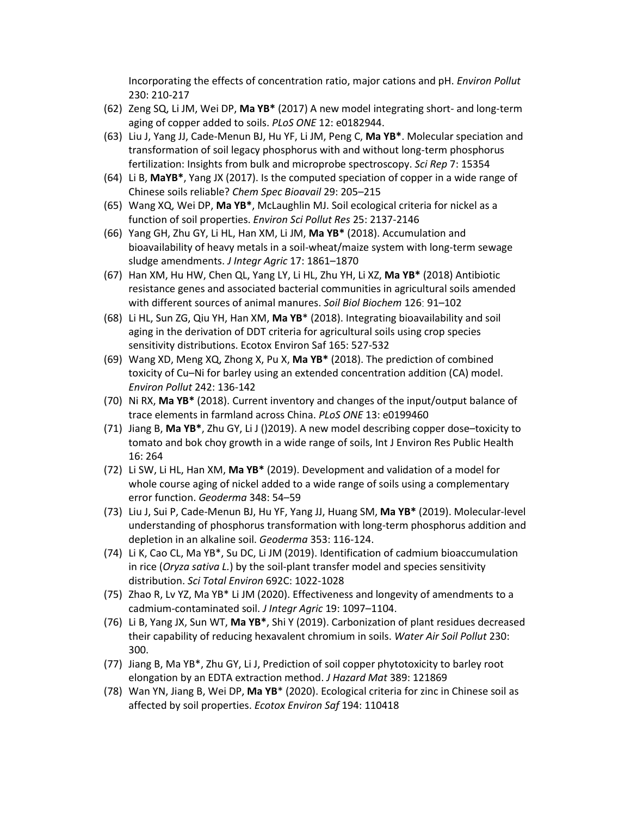Incorporating the effects of concentration ratio, major cations and pH. *Environ Pollut* 230: 210-217

- (62) Zeng SQ, Li JM, Wei DP, **Ma YB\*** (2017) A new model integrating short- and long-term aging of copper added to soils. *PLoS ONE* 12: e0182944.
- (63) Liu J, Yang JJ, Cade-Menun BJ, Hu YF, Li JM, Peng C, **Ma YB\***. Molecular speciation and transformation of soil legacy phosphorus with and without long-term phosphorus fertilization: Insights from bulk and microprobe spectroscopy. *Sci Rep* 7: 15354
- (64) Li B, **MaYB\***, Yang JX (2017). Is the computed speciation of copper in a wide range of Chinese soils reliable? *Chem Spec Bioavail* 29: 205–215
- (65) Wang XQ, Wei DP, **Ma YB\***, McLaughlin MJ. Soil ecological criteria for nickel as a function of soil properties. *Environ Sci Pollut Res* 25: 2137-2146
- (66) Yang GH, Zhu GY, Li HL, Han XM, Li JM, **Ma YB\*** (2018). Accumulation and bioavailability of heavy metals in a soil-wheat/maize system with long-term sewage sludge amendments. *J Integr Agric* 17: 1861–1870
- (67) Han XM, Hu HW, Chen QL, Yang LY, Li HL, Zhu YH, Li XZ, **Ma YB\*** (2018) Antibiotic resistance genes and associated bacterial communities in agricultural soils amended with different sources of animal manures. *Soil Biol Biochem* 126: 91–102
- (68) Li HL, Sun ZG, Qiu YH, Han XM, **Ma YB**\* (2018). Integrating bioavailability and soil aging in the derivation of DDT criteria for agricultural soils using crop species sensitivity distributions. Ecotox Environ Saf 165: 527-532
- (69) Wang XD, Meng XQ, Zhong X, Pu X, **Ma YB\*** (2018). The prediction of combined toxicity of Cu–Ni for barley using an extended concentration addition (CA) model. *Environ Pollut* 242: 136-142
- (70) Ni RX, **Ma YB\*** (2018). Current inventory and changes of the input/output balance of trace elements in farmland across China. *PLoS ONE* 13: e0199460
- (71) Jiang B, **Ma YB\***, Zhu GY, Li J ()2019). A new model describing copper dose–toxicity to tomato and bok choy growth in a wide range of soils, Int J Environ Res Public Health 16: 264
- (72) Li SW, Li HL, Han XM, **Ma YB\*** (2019). Development and validation of a model for whole course aging of nickel added to a wide range of soils using a complementary error function. *Geoderma* 348: 54–59
- (73) Liu J, Sui P, Cade-Menun BJ, Hu YF, Yang JJ, Huang SM, **Ma YB\*** (2019). Molecular-level understanding of phosphorus transformation with long-term phosphorus addition and depletion in an alkaline soil. *Geoderma* 353: 116-124.
- (74) Li K, Cao CL, Ma YB\*, Su DC, Li JM (2019). Identification of cadmium bioaccumulation in rice (*Oryza sativa L.*) by the soil-plant transfer model and species sensitivity distribution. *Sci Total Environ* 692C: 1022-1028
- (75) Zhao R, Lv YZ, Ma YB\* Li JM (2020). Effectiveness and longevity of amendments to a cadmium-contaminated soil. *J Integr Agric* 19: 1097–1104.
- (76) Li B, Yang JX, Sun WT, **Ma YB\***, Shi Y (2019). Carbonization of plant residues decreased their capability of reducing hexavalent chromium in soils. *Water Air Soil Pollut* 230: 300.
- (77) Jiang B, Ma YB\*, Zhu GY, Li J, Prediction of soil copper phytotoxicity to barley root elongation by an EDTA extraction method. *J Hazard Mat* 389: 121869
- (78) Wan YN, Jiang B, Wei DP, **Ma YB**\* (2020). Ecological criteria for zinc in Chinese soil as affected by soil properties. *Ecotox Environ Saf* 194: 110418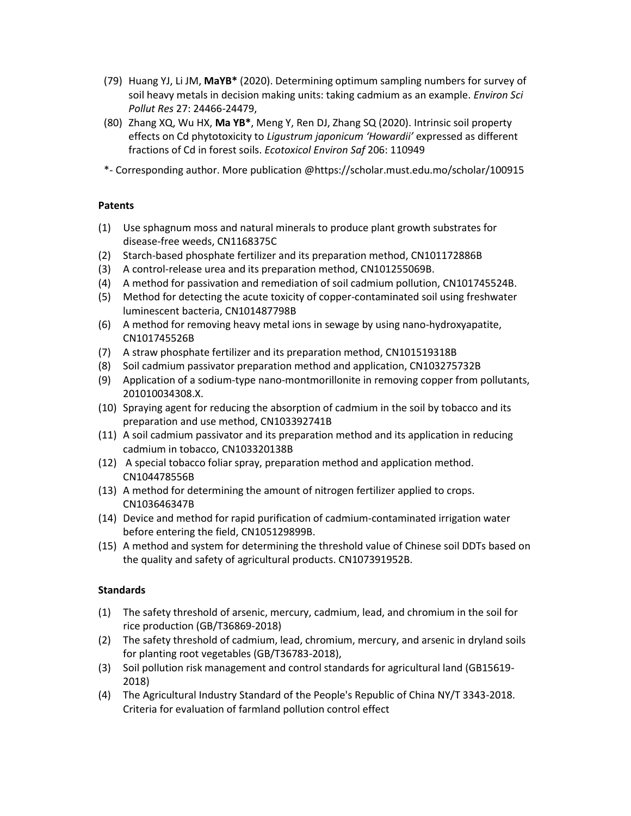- (79) Huang YJ, Li JM, **MaYB\*** (2020). Determining optimum sampling numbers for survey of soil heavy metals in decision making units: taking cadmium as an example. *Environ Sci Pollut Res* 27: 24466-24479,
- (80) Zhang XQ, Wu HX, **Ma YB\***, Meng Y, Ren DJ, Zhang SQ (2020). Intrinsic soil property effects on Cd phytotoxicity to *Ligustrum japonicum 'Howardii'* expressed as different fractions of Cd in forest soils. *Ecotoxicol Environ Saf* 206: 110949

\*- Corresponding author. More publication @https://scholar.must.edu.mo/scholar/100915

### **Patents**

- (1) Use sphagnum moss and natural minerals to produce plant growth substrates for disease-free weeds, CN1168375C
- (2) Starch-based phosphate fertilizer and its preparation method, CN101172886B
- (3) A control-release urea and its preparation method, CN101255069B.
- (4) A method for passivation and remediation of soil cadmium pollution, CN101745524B.
- (5) Method for detecting the acute toxicity of copper-contaminated soil using freshwater luminescent bacteria, CN101487798B
- (6) A method for removing heavy metal ions in sewage by using nano-hydroxyapatite, CN101745526B
- (7) A straw phosphate fertilizer and its preparation method, CN101519318B
- (8) Soil cadmium passivator preparation method and application, CN103275732B
- (9) Application of a sodium-type nano-montmorillonite in removing copper from pollutants, 201010034308.X.
- (10) Spraying agent for reducing the absorption of cadmium in the soil by tobacco and its preparation and use method, CN103392741B
- (11) A soil cadmium passivator and its preparation method and its application in reducing cadmium in tobacco, CN103320138B
- (12) A special tobacco foliar spray, preparation method and application method. CN104478556B
- (13) A method for determining the amount of nitrogen fertilizer applied to crops. CN103646347B
- (14) Device and method for rapid purification of cadmium-contaminated irrigation water before entering the field, CN105129899B.
- (15) A method and system for determining the threshold value of Chinese soil DDTs based on the quality and safety of agricultural products. CN107391952B.

# **Standards**

- (1) The safety threshold of arsenic, mercury, cadmium, lead, and chromium in the soil for rice production (GB/T36869-2018)
- (2) The safety threshold of cadmium, lead, chromium, mercury, and arsenic in dryland soils for planting root vegetables (GB/T36783-2018),
- (3) Soil pollution risk management and control standards for agricultural land (GB15619- 2018)
- (4) The Agricultural Industry Standard of the People's Republic of China NY/T 3343-2018. Criteria for evaluation of farmland pollution control effect